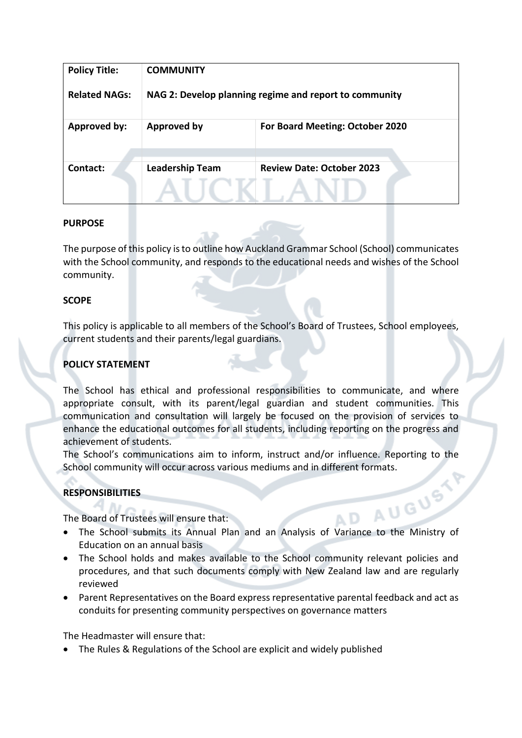| <b>Policy Title:</b> | <b>COMMUNITY</b>                                       |                                        |
|----------------------|--------------------------------------------------------|----------------------------------------|
| <b>Related NAGs:</b> | NAG 2: Develop planning regime and report to community |                                        |
| <b>Approved by:</b>  | <b>Approved by</b>                                     | <b>For Board Meeting: October 2020</b> |
| Contact:             | <b>Leadership Team</b>                                 | <b>Review Date: October 2023</b>       |

### **PURPOSE**

The purpose of this policy is to outline how Auckland Grammar School (School) communicates with the School community, and responds to the educational needs and wishes of the School community.

### **SCOPE**

This policy is applicable to all members of the School's Board of Trustees, School employees, current students and their parents/legal guardians.

## **POLICY STATEMENT**

The School has ethical and professional responsibilities to communicate, and where appropriate consult, with its parent/legal guardian and student communities. This communication and consultation will largely be focused on the provision of services to enhance the educational outcomes for all students, including reporting on the progress and achievement of students.

The School's communications aim to inform, instruct and/or influence. Reporting to the

# **RESPONSIBILITIES**

The Board of Trustees will ensure that:

- School community will occur across various mediums and in different formats.<br> **RESPONSIBILITIES**<br>
The Board of Trustees will ensure that:<br>
 The School submite if • The School submits its Annual Plan and an Analysis of Variance to the Ministry of Education on an annual basis
- The School holds and makes available to the School community relevant policies and procedures, and that such documents comply with New Zealand law and are regularly reviewed
- Parent Representatives on the Board express representative parental feedback and act as conduits for presenting community perspectives on governance matters

The Headmaster will ensure that:

• The Rules & Regulations of the School are explicit and widely published